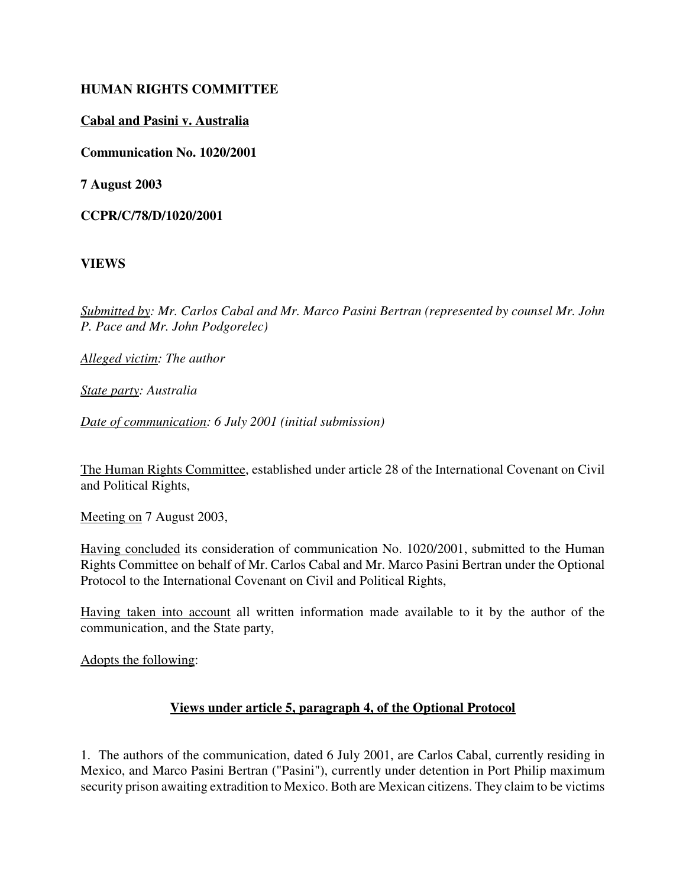### **HUMAN RIGHTS COMMITTEE**

### **Cabal and Pasini v. Australia**

**Communication No. 1020/2001**

**7 August 2003**

**CCPR/C/78/D/1020/2001**

**VIEWS**

*Submitted by: Mr. Carlos Cabal and Mr. Marco Pasini Bertran (represented by counsel Mr. John P. Pace and Mr. John Podgorelec)*

*Alleged victim: The author* 

*State party: Australia*

*Date of communication: 6 July 2001 (initial submission)*

The Human Rights Committee, established under article 28 of the International Covenant on Civil and Political Rights,

Meeting on 7 August 2003,

Having concluded its consideration of communication No. 1020/2001, submitted to the Human Rights Committee on behalf of Mr. Carlos Cabal and Mr. Marco Pasini Bertran under the Optional Protocol to the International Covenant on Civil and Political Rights,

Having taken into account all written information made available to it by the author of the communication, and the State party,

Adopts the following:

#### **Views under article 5, paragraph 4, of the Optional Protocol**

1. The authors of the communication, dated 6 July 2001, are Carlos Cabal, currently residing in Mexico, and Marco Pasini Bertran ("Pasini"), currently under detention in Port Philip maximum security prison awaiting extradition to Mexico. Both are Mexican citizens. They claim to be victims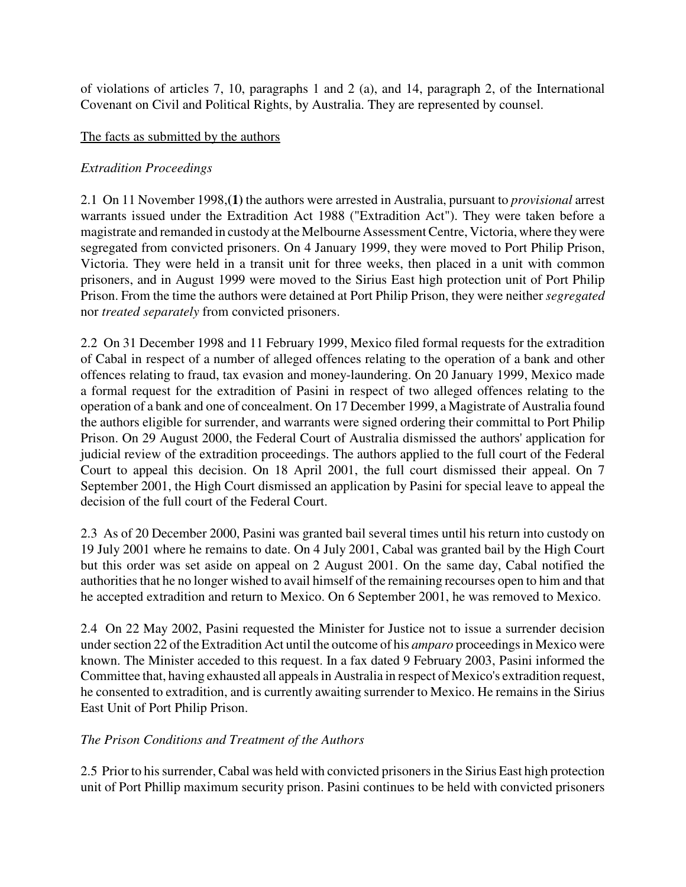of violations of articles 7, 10, paragraphs 1 and 2 (a), and 14, paragraph 2, of the International Covenant on Civil and Political Rights, by Australia. They are represented by counsel.

### The facts as submitted by the authors

### *Extradition Proceedings*

2.1 On 11 November 1998,**(1)** the authors were arrested in Australia, pursuant to *provisional* arrest warrants issued under the Extradition Act 1988 ("Extradition Act"). They were taken before a magistrate and remanded in custody at the Melbourne Assessment Centre, Victoria, where they were segregated from convicted prisoners. On 4 January 1999, they were moved to Port Philip Prison, Victoria. They were held in a transit unit for three weeks, then placed in a unit with common prisoners, and in August 1999 were moved to the Sirius East high protection unit of Port Philip Prison. From the time the authors were detained at Port Philip Prison, they were neither *segregated* nor *treated separately* from convicted prisoners.

2.2 On 31 December 1998 and 11 February 1999, Mexico filed formal requests for the extradition of Cabal in respect of a number of alleged offences relating to the operation of a bank and other offences relating to fraud, tax evasion and money-laundering. On 20 January 1999, Mexico made a formal request for the extradition of Pasini in respect of two alleged offences relating to the operation of a bank and one of concealment. On 17 December 1999, a Magistrate of Australia found the authors eligible for surrender, and warrants were signed ordering their committal to Port Philip Prison. On 29 August 2000, the Federal Court of Australia dismissed the authors' application for judicial review of the extradition proceedings. The authors applied to the full court of the Federal Court to appeal this decision. On 18 April 2001, the full court dismissed their appeal. On 7 September 2001, the High Court dismissed an application by Pasini for special leave to appeal the decision of the full court of the Federal Court.

2.3 As of 20 December 2000, Pasini was granted bail several times until his return into custody on 19 July 2001 where he remains to date. On 4 July 2001, Cabal was granted bail by the High Court but this order was set aside on appeal on 2 August 2001. On the same day, Cabal notified the authorities that he no longer wished to avail himself of the remaining recourses open to him and that he accepted extradition and return to Mexico. On 6 September 2001, he was removed to Mexico.

2.4 On 22 May 2002, Pasini requested the Minister for Justice not to issue a surrender decision under section 22 of the Extradition Act until the outcome of his *amparo* proceedings in Mexico were known. The Minister acceded to this request. In a fax dated 9 February 2003, Pasini informed the Committee that, having exhausted all appeals in Australia in respect of Mexico's extradition request, he consented to extradition, and is currently awaiting surrender to Mexico. He remains in the Sirius East Unit of Port Philip Prison.

# *The Prison Conditions and Treatment of the Authors*

2.5 Prior to his surrender, Cabal was held with convicted prisoners in the Sirius East high protection unit of Port Phillip maximum security prison. Pasini continues to be held with convicted prisoners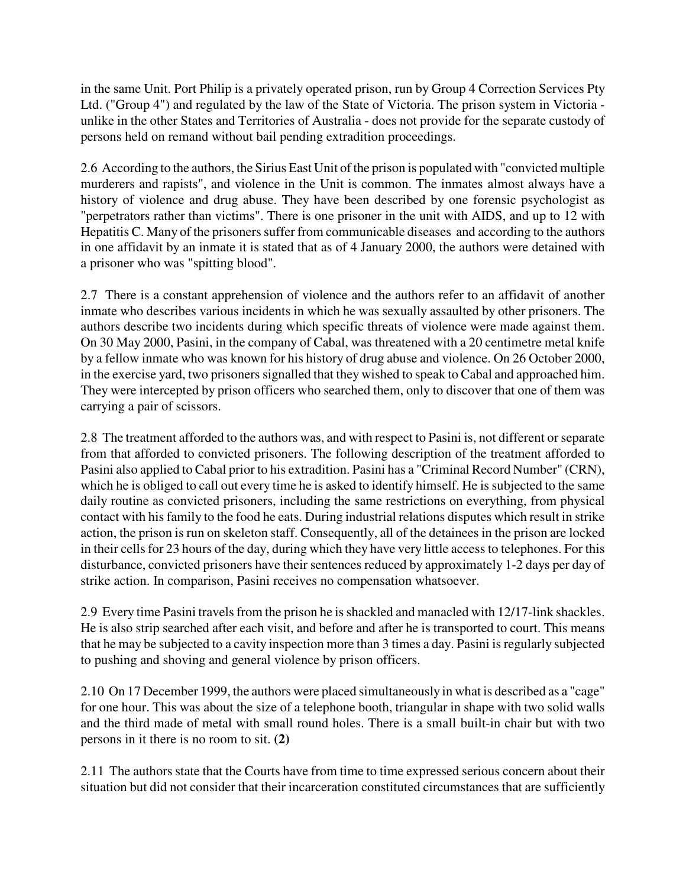in the same Unit. Port Philip is a privately operated prison, run by Group 4 Correction Services Pty Ltd. ("Group 4") and regulated by the law of the State of Victoria. The prison system in Victoria unlike in the other States and Territories of Australia - does not provide for the separate custody of persons held on remand without bail pending extradition proceedings.

2.6 According to the authors, the Sirius East Unit of the prison is populated with "convicted multiple murderers and rapists", and violence in the Unit is common. The inmates almost always have a history of violence and drug abuse. They have been described by one forensic psychologist as "perpetrators rather than victims". There is one prisoner in the unit with AIDS, and up to 12 with Hepatitis C. Many of the prisoners suffer from communicable diseases and according to the authors in one affidavit by an inmate it is stated that as of 4 January 2000, the authors were detained with a prisoner who was "spitting blood".

2.7 There is a constant apprehension of violence and the authors refer to an affidavit of another inmate who describes various incidents in which he was sexually assaulted by other prisoners. The authors describe two incidents during which specific threats of violence were made against them. On 30 May 2000, Pasini, in the company of Cabal, was threatened with a 20 centimetre metal knife by a fellow inmate who was known for his history of drug abuse and violence. On 26 October 2000, in the exercise yard, two prisoners signalled that they wished to speak to Cabal and approached him. They were intercepted by prison officers who searched them, only to discover that one of them was carrying a pair of scissors.

2.8 The treatment afforded to the authors was, and with respect to Pasini is, not different or separate from that afforded to convicted prisoners. The following description of the treatment afforded to Pasini also applied to Cabal prior to his extradition. Pasini has a "Criminal Record Number" (CRN), which he is obliged to call out every time he is asked to identify himself. He is subjected to the same daily routine as convicted prisoners, including the same restrictions on everything, from physical contact with his family to the food he eats. During industrial relations disputes which result in strike action, the prison is run on skeleton staff. Consequently, all of the detainees in the prison are locked in their cells for 23 hours of the day, during which they have very little access to telephones. For this disturbance, convicted prisoners have their sentences reduced by approximately 1-2 days per day of strike action. In comparison, Pasini receives no compensation whatsoever.

2.9 Every time Pasini travels from the prison he is shackled and manacled with 12/17-link shackles. He is also strip searched after each visit, and before and after he is transported to court. This means that he may be subjected to a cavity inspection more than 3 times a day. Pasini is regularly subjected to pushing and shoving and general violence by prison officers.

2.10 On 17 December 1999, the authors were placed simultaneously in what is described as a "cage" for one hour. This was about the size of a telephone booth, triangular in shape with two solid walls and the third made of metal with small round holes. There is a small built-in chair but with two persons in it there is no room to sit. **(2)**

2.11 The authors state that the Courts have from time to time expressed serious concern about their situation but did not consider that their incarceration constituted circumstances that are sufficiently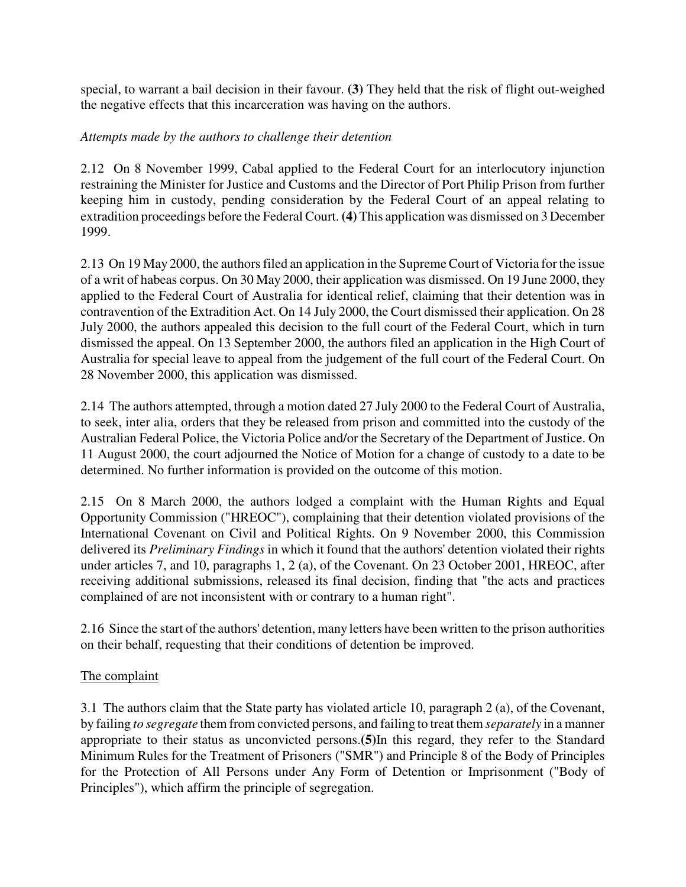special, to warrant a bail decision in their favour. **(3)** They held that the risk of flight out-weighed the negative effects that this incarceration was having on the authors.

# *Attempts made by the authors to challenge their detention*

2.12 On 8 November 1999, Cabal applied to the Federal Court for an interlocutory injunction restraining the Minister for Justice and Customs and the Director of Port Philip Prison from further keeping him in custody, pending consideration by the Federal Court of an appeal relating to extradition proceedings before the Federal Court. **(4)** This application was dismissed on 3 December 1999.

2.13 On 19 May 2000, the authors filed an application in the Supreme Court of Victoria for the issue of a writ of habeas corpus. On 30 May 2000, their application was dismissed. On 19 June 2000, they applied to the Federal Court of Australia for identical relief, claiming that their detention was in contravention of the Extradition Act. On 14 July 2000, the Court dismissed their application. On 28 July 2000, the authors appealed this decision to the full court of the Federal Court, which in turn dismissed the appeal. On 13 September 2000, the authors filed an application in the High Court of Australia for special leave to appeal from the judgement of the full court of the Federal Court. On 28 November 2000, this application was dismissed.

2.14 The authors attempted, through a motion dated 27 July 2000 to the Federal Court of Australia, to seek, inter alia, orders that they be released from prison and committed into the custody of the Australian Federal Police, the Victoria Police and/or the Secretary of the Department of Justice. On 11 August 2000, the court adjourned the Notice of Motion for a change of custody to a date to be determined. No further information is provided on the outcome of this motion.

2.15 On 8 March 2000, the authors lodged a complaint with the Human Rights and Equal Opportunity Commission ("HREOC"), complaining that their detention violated provisions of the International Covenant on Civil and Political Rights. On 9 November 2000, this Commission delivered its *Preliminary Findings* in which it found that the authors' detention violated their rights under articles 7, and 10, paragraphs 1, 2 (a), of the Covenant. On 23 October 2001, HREOC, after receiving additional submissions, released its final decision, finding that "the acts and practices complained of are not inconsistent with or contrary to a human right".

2.16 Since the start of the authors' detention, many letters have been written to the prison authorities on their behalf, requesting that their conditions of detention be improved.

# The complaint

3.1 The authors claim that the State party has violated article 10, paragraph 2 (a), of the Covenant, by failing *to segregate* them from convicted persons, and failing to treat them *separately* in a manner appropriate to their status as unconvicted persons.**(5)**In this regard, they refer to the Standard Minimum Rules for the Treatment of Prisoners ("SMR") and Principle 8 of the Body of Principles for the Protection of All Persons under Any Form of Detention or Imprisonment ("Body of Principles"), which affirm the principle of segregation.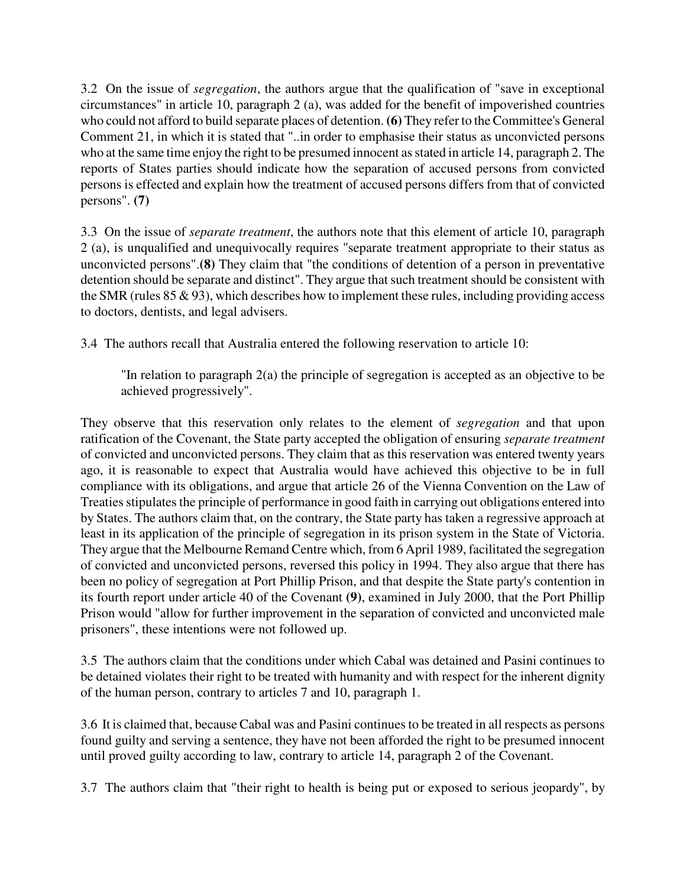3.2 On the issue of *segregation*, the authors argue that the qualification of "save in exceptional circumstances" in article 10, paragraph 2 (a), was added for the benefit of impoverished countries who could not afford to build separate places of detention. **(6)** They refer to the Committee's General Comment 21, in which it is stated that "..in order to emphasise their status as unconvicted persons who at the same time enjoy the right to be presumed innocent as stated in article 14, paragraph 2. The reports of States parties should indicate how the separation of accused persons from convicted persons is effected and explain how the treatment of accused persons differs from that of convicted persons". **(7)**

3.3 On the issue of *separate treatment*, the authors note that this element of article 10, paragraph 2 (a), is unqualified and unequivocally requires "separate treatment appropriate to their status as unconvicted persons".**(8)** They claim that "the conditions of detention of a person in preventative detention should be separate and distinct". They argue that such treatment should be consistent with the SMR (rules  $85 \& 93$ ), which describes how to implement these rules, including providing access to doctors, dentists, and legal advisers.

3.4 The authors recall that Australia entered the following reservation to article 10:

"In relation to paragraph 2(a) the principle of segregation is accepted as an objective to be achieved progressively".

They observe that this reservation only relates to the element of *segregation* and that upon ratification of the Covenant, the State party accepted the obligation of ensuring *separate treatment* of convicted and unconvicted persons. They claim that as this reservation was entered twenty years ago, it is reasonable to expect that Australia would have achieved this objective to be in full compliance with its obligations, and argue that article 26 of the Vienna Convention on the Law of Treaties stipulates the principle of performance in good faith in carrying out obligations entered into by States. The authors claim that, on the contrary, the State party has taken a regressive approach at least in its application of the principle of segregation in its prison system in the State of Victoria. They argue that the Melbourne Remand Centre which, from 6 April 1989, facilitated the segregation of convicted and unconvicted persons, reversed this policy in 1994. They also argue that there has been no policy of segregation at Port Phillip Prison, and that despite the State party's contention in its fourth report under article 40 of the Covenant **(9)**, examined in July 2000, that the Port Phillip Prison would "allow for further improvement in the separation of convicted and unconvicted male prisoners", these intentions were not followed up.

3.5 The authors claim that the conditions under which Cabal was detained and Pasini continues to be detained violates their right to be treated with humanity and with respect for the inherent dignity of the human person, contrary to articles 7 and 10, paragraph 1.

3.6 It is claimed that, because Cabal was and Pasini continues to be treated in all respects as persons found guilty and serving a sentence, they have not been afforded the right to be presumed innocent until proved guilty according to law, contrary to article 14, paragraph 2 of the Covenant.

3.7 The authors claim that "their right to health is being put or exposed to serious jeopardy", by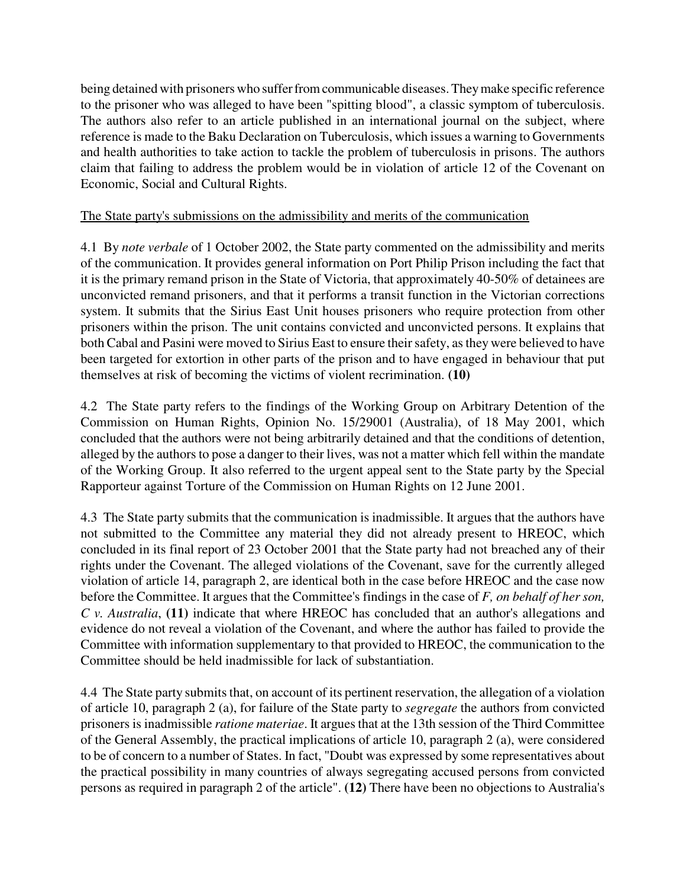being detained with prisoners who suffer from communicable diseases. They make specific reference to the prisoner who was alleged to have been "spitting blood", a classic symptom of tuberculosis. The authors also refer to an article published in an international journal on the subject, where reference is made to the Baku Declaration on Tuberculosis, which issues a warning to Governments and health authorities to take action to tackle the problem of tuberculosis in prisons. The authors claim that failing to address the problem would be in violation of article 12 of the Covenant on Economic, Social and Cultural Rights.

### The State party's submissions on the admissibility and merits of the communication

4.1 By *note verbale* of 1 October 2002, the State party commented on the admissibility and merits of the communication. It provides general information on Port Philip Prison including the fact that it is the primary remand prison in the State of Victoria, that approximately 40-50% of detainees are unconvicted remand prisoners, and that it performs a transit function in the Victorian corrections system. It submits that the Sirius East Unit houses prisoners who require protection from other prisoners within the prison. The unit contains convicted and unconvicted persons. It explains that both Cabal and Pasini were moved to Sirius East to ensure their safety, as they were believed to have been targeted for extortion in other parts of the prison and to have engaged in behaviour that put themselves at risk of becoming the victims of violent recrimination. **(10)**

4.2 The State party refers to the findings of the Working Group on Arbitrary Detention of the Commission on Human Rights, Opinion No. 15/29001 (Australia), of 18 May 2001, which concluded that the authors were not being arbitrarily detained and that the conditions of detention, alleged by the authors to pose a danger to their lives, was not a matter which fell within the mandate of the Working Group. It also referred to the urgent appeal sent to the State party by the Special Rapporteur against Torture of the Commission on Human Rights on 12 June 2001.

4.3 The State party submits that the communication is inadmissible. It argues that the authors have not submitted to the Committee any material they did not already present to HREOC, which concluded in its final report of 23 October 2001 that the State party had not breached any of their rights under the Covenant. The alleged violations of the Covenant, save for the currently alleged violation of article 14, paragraph 2, are identical both in the case before HREOC and the case now before the Committee. It argues that the Committee's findings in the case of *F, on behalf of her son, C v. Australia*, **(11)** indicate that where HREOC has concluded that an author's allegations and evidence do not reveal a violation of the Covenant, and where the author has failed to provide the Committee with information supplementary to that provided to HREOC, the communication to the Committee should be held inadmissible for lack of substantiation.

4.4 The State party submits that, on account of its pertinent reservation, the allegation of a violation of article 10, paragraph 2 (a), for failure of the State party to *segregate* the authors from convicted prisoners is inadmissible *ratione materiae*. It argues that at the 13th session of the Third Committee of the General Assembly, the practical implications of article 10, paragraph 2 (a), were considered to be of concern to a number of States. In fact, "Doubt was expressed by some representatives about the practical possibility in many countries of always segregating accused persons from convicted persons as required in paragraph 2 of the article". **(12)** There have been no objections to Australia's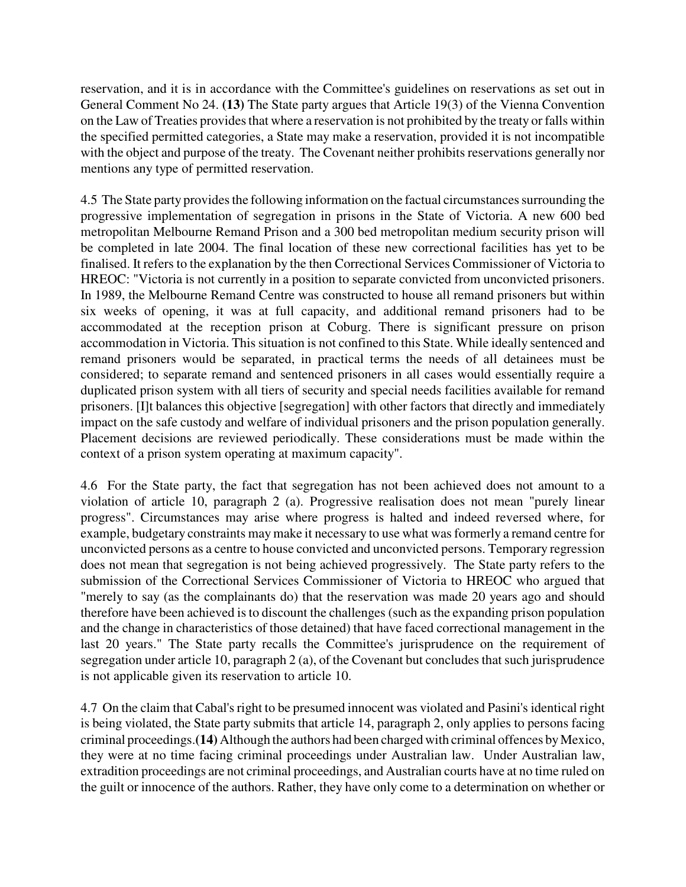reservation, and it is in accordance with the Committee's guidelines on reservations as set out in General Comment No 24. **(13)** The State party argues that Article 19(3) of the Vienna Convention on the Law of Treaties provides that where a reservation is not prohibited by the treaty or falls within the specified permitted categories, a State may make a reservation, provided it is not incompatible with the object and purpose of the treaty. The Covenant neither prohibits reservations generally nor mentions any type of permitted reservation.

4.5 The State party provides the following information on the factual circumstances surrounding the progressive implementation of segregation in prisons in the State of Victoria. A new 600 bed metropolitan Melbourne Remand Prison and a 300 bed metropolitan medium security prison will be completed in late 2004. The final location of these new correctional facilities has yet to be finalised. It refers to the explanation by the then Correctional Services Commissioner of Victoria to HREOC: "Victoria is not currently in a position to separate convicted from unconvicted prisoners. In 1989, the Melbourne Remand Centre was constructed to house all remand prisoners but within six weeks of opening, it was at full capacity, and additional remand prisoners had to be accommodated at the reception prison at Coburg. There is significant pressure on prison accommodation in Victoria. This situation is not confined to this State. While ideally sentenced and remand prisoners would be separated, in practical terms the needs of all detainees must be considered; to separate remand and sentenced prisoners in all cases would essentially require a duplicated prison system with all tiers of security and special needs facilities available for remand prisoners. [I]t balances this objective [segregation] with other factors that directly and immediately impact on the safe custody and welfare of individual prisoners and the prison population generally. Placement decisions are reviewed periodically. These considerations must be made within the context of a prison system operating at maximum capacity".

4.6 For the State party, the fact that segregation has not been achieved does not amount to a violation of article 10, paragraph 2 (a). Progressive realisation does not mean "purely linear progress". Circumstances may arise where progress is halted and indeed reversed where, for example, budgetary constraints may make it necessary to use what was formerly a remand centre for unconvicted persons as a centre to house convicted and unconvicted persons. Temporary regression does not mean that segregation is not being achieved progressively. The State party refers to the submission of the Correctional Services Commissioner of Victoria to HREOC who argued that "merely to say (as the complainants do) that the reservation was made 20 years ago and should therefore have been achieved is to discount the challenges (such as the expanding prison population and the change in characteristics of those detained) that have faced correctional management in the last 20 years." The State party recalls the Committee's jurisprudence on the requirement of segregation under article 10, paragraph 2 (a), of the Covenant but concludes that such jurisprudence is not applicable given its reservation to article 10.

4.7 On the claim that Cabal's right to be presumed innocent was violated and Pasini's identical right is being violated, the State party submits that article 14, paragraph 2, only applies to persons facing criminal proceedings.**(14)** Although the authors had been charged with criminal offences by Mexico, they were at no time facing criminal proceedings under Australian law. Under Australian law, extradition proceedings are not criminal proceedings, and Australian courts have at no time ruled on the guilt or innocence of the authors. Rather, they have only come to a determination on whether or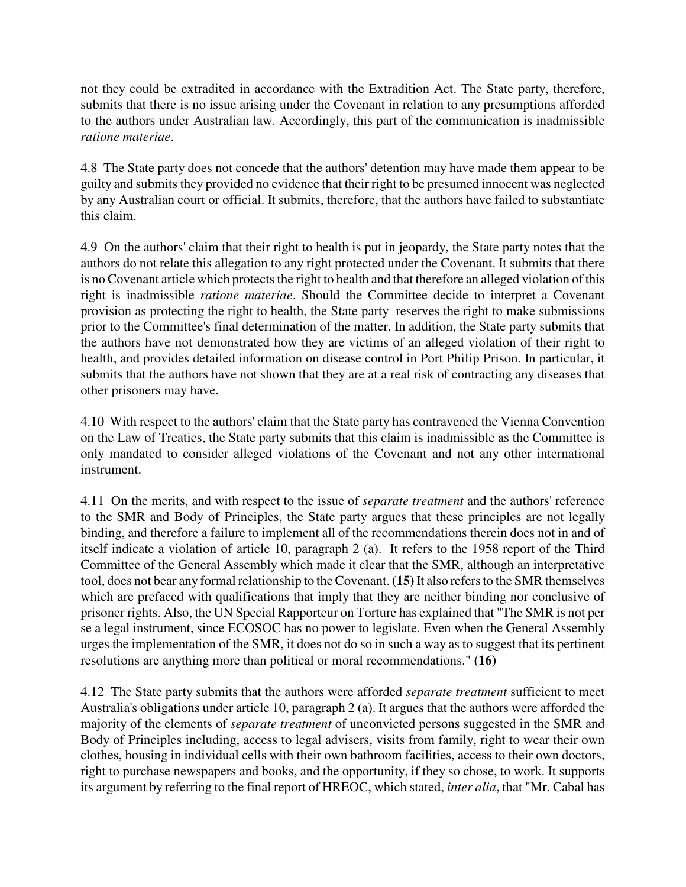not they could be extradited in accordance with the Extradition Act. The State party, therefore, submits that there is no issue arising under the Covenant in relation to any presumptions afforded to the authors under Australian law. Accordingly, this part of the communication is inadmissible *ratione materiae*.

4.8 The State party does not concede that the authors' detention may have made them appear to be guilty and submits they provided no evidence that their right to be presumed innocent was neglected by any Australian court or official. It submits, therefore, that the authors have failed to substantiate this claim.

4.9 On the authors' claim that their right to health is put in jeopardy, the State party notes that the authors do not relate this allegation to any right protected under the Covenant. It submits that there is no Covenant article which protects the right to health and that therefore an alleged violation of this right is inadmissible *ratione materiae*. Should the Committee decide to interpret a Covenant provision as protecting the right to health, the State party reserves the right to make submissions prior to the Committee's final determination of the matter. In addition, the State party submits that the authors have not demonstrated how they are victims of an alleged violation of their right to health, and provides detailed information on disease control in Port Philip Prison. In particular, it submits that the authors have not shown that they are at a real risk of contracting any diseases that other prisoners may have.

4.10 With respect to the authors' claim that the State party has contravened the Vienna Convention on the Law of Treaties, the State party submits that this claim is inadmissible as the Committee is only mandated to consider alleged violations of the Covenant and not any other international instrument.

4.11 On the merits, and with respect to the issue of *separate treatment* and the authors' reference to the SMR and Body of Principles, the State party argues that these principles are not legally binding, and therefore a failure to implement all of the recommendations therein does not in and of itself indicate a violation of article 10, paragraph 2 (a). It refers to the 1958 report of the Third Committee of the General Assembly which made it clear that the SMR, although an interpretative tool, does not bear any formal relationship to the Covenant. **(15)** It also refers to the SMR themselves which are prefaced with qualifications that imply that they are neither binding nor conclusive of prisoner rights. Also, the UN Special Rapporteur on Torture has explained that "The SMR is not per se a legal instrument, since ECOSOC has no power to legislate. Even when the General Assembly urges the implementation of the SMR, it does not do so in such a way as to suggest that its pertinent resolutions are anything more than political or moral recommendations." **(16)**

4.12 The State party submits that the authors were afforded *separate treatment* sufficient to meet Australia's obligations under article 10, paragraph 2 (a). It argues that the authors were afforded the majority of the elements of *separate treatment* of unconvicted persons suggested in the SMR and Body of Principles including, access to legal advisers, visits from family, right to wear their own clothes, housing in individual cells with their own bathroom facilities, access to their own doctors, right to purchase newspapers and books, and the opportunity, if they so chose, to work. It supports its argument by referring to the final report of HREOC, which stated, *inter alia*, that "Mr. Cabal has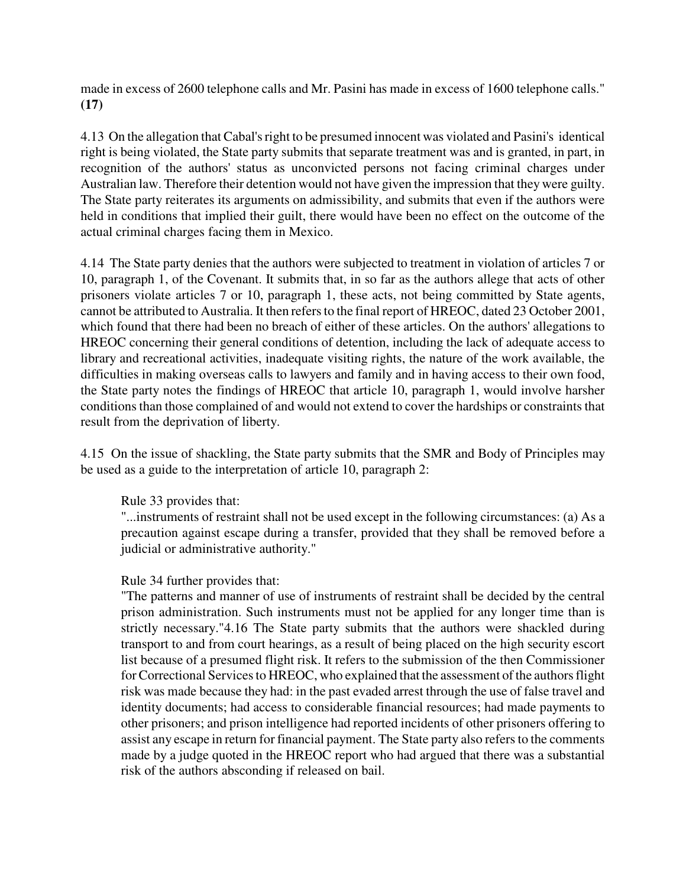made in excess of 2600 telephone calls and Mr. Pasini has made in excess of 1600 telephone calls." **(17)** 

4.13 On the allegation that Cabal's right to be presumed innocent was violated and Pasini's identical right is being violated, the State party submits that separate treatment was and is granted, in part, in recognition of the authors' status as unconvicted persons not facing criminal charges under Australian law. Therefore their detention would not have given the impression that they were guilty. The State party reiterates its arguments on admissibility, and submits that even if the authors were held in conditions that implied their guilt, there would have been no effect on the outcome of the actual criminal charges facing them in Mexico.

4.14 The State party denies that the authors were subjected to treatment in violation of articles 7 or 10, paragraph 1, of the Covenant. It submits that, in so far as the authors allege that acts of other prisoners violate articles 7 or 10, paragraph 1, these acts, not being committed by State agents, cannot be attributed to Australia. It then refers to the final report of HREOC, dated 23 October 2001, which found that there had been no breach of either of these articles. On the authors' allegations to HREOC concerning their general conditions of detention, including the lack of adequate access to library and recreational activities, inadequate visiting rights, the nature of the work available, the difficulties in making overseas calls to lawyers and family and in having access to their own food, the State party notes the findings of HREOC that article 10, paragraph 1, would involve harsher conditions than those complained of and would not extend to cover the hardships or constraints that result from the deprivation of liberty.

4.15 On the issue of shackling, the State party submits that the SMR and Body of Principles may be used as a guide to the interpretation of article 10, paragraph 2:

Rule 33 provides that:

"...instruments of restraint shall not be used except in the following circumstances: (a) As a precaution against escape during a transfer, provided that they shall be removed before a judicial or administrative authority."

#### Rule 34 further provides that:

"The patterns and manner of use of instruments of restraint shall be decided by the central prison administration. Such instruments must not be applied for any longer time than is strictly necessary."4.16 The State party submits that the authors were shackled during transport to and from court hearings, as a result of being placed on the high security escort list because of a presumed flight risk. It refers to the submission of the then Commissioner for Correctional Services to HREOC, who explained that the assessment of the authors flight risk was made because they had: in the past evaded arrest through the use of false travel and identity documents; had access to considerable financial resources; had made payments to other prisoners; and prison intelligence had reported incidents of other prisoners offering to assist any escape in return for financial payment. The State party also refers to the comments made by a judge quoted in the HREOC report who had argued that there was a substantial risk of the authors absconding if released on bail.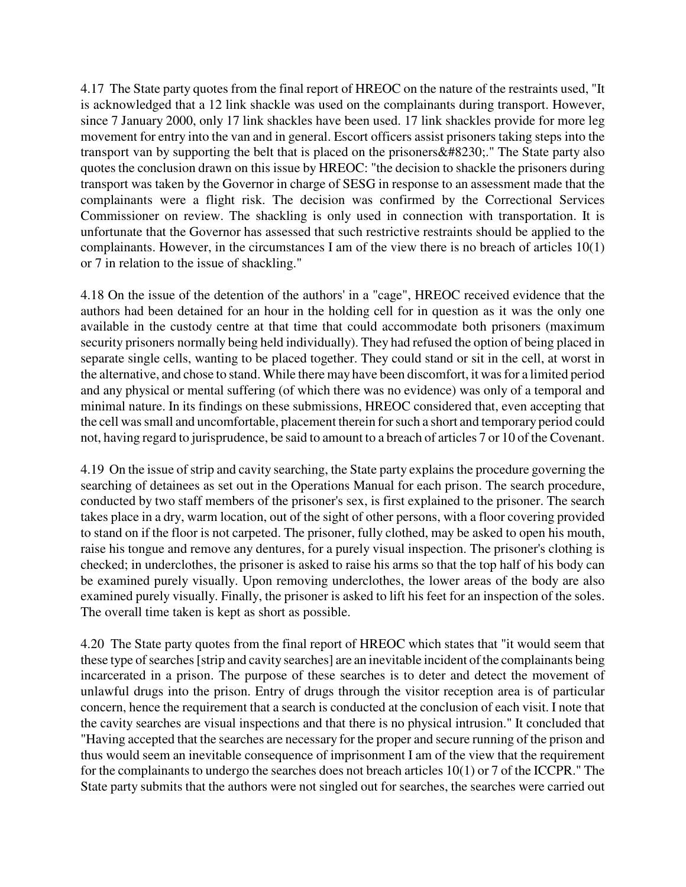4.17 The State party quotes from the final report of HREOC on the nature of the restraints used, "It is acknowledged that a 12 link shackle was used on the complainants during transport. However, since 7 January 2000, only 17 link shackles have been used. 17 link shackles provide for more leg movement for entry into the van and in general. Escort officers assist prisoners taking steps into the transport van by supporting the belt that is placed on the prisoners  $&\#8230$ ;." The State party also quotes the conclusion drawn on this issue by HREOC: "the decision to shackle the prisoners during transport was taken by the Governor in charge of SESG in response to an assessment made that the complainants were a flight risk. The decision was confirmed by the Correctional Services Commissioner on review. The shackling is only used in connection with transportation. It is unfortunate that the Governor has assessed that such restrictive restraints should be applied to the complainants. However, in the circumstances I am of the view there is no breach of articles 10(1) or 7 in relation to the issue of shackling."

4.18 On the issue of the detention of the authors' in a "cage", HREOC received evidence that the authors had been detained for an hour in the holding cell for in question as it was the only one available in the custody centre at that time that could accommodate both prisoners (maximum security prisoners normally being held individually). They had refused the option of being placed in separate single cells, wanting to be placed together. They could stand or sit in the cell, at worst in the alternative, and chose to stand. While there may have been discomfort, it was for a limited period and any physical or mental suffering (of which there was no evidence) was only of a temporal and minimal nature. In its findings on these submissions, HREOC considered that, even accepting that the cell was small and uncomfortable, placement therein for such a short and temporary period could not, having regard to jurisprudence, be said to amount to a breach of articles 7 or 10 of the Covenant.

4.19 On the issue of strip and cavity searching, the State party explains the procedure governing the searching of detainees as set out in the Operations Manual for each prison. The search procedure, conducted by two staff members of the prisoner's sex, is first explained to the prisoner. The search takes place in a dry, warm location, out of the sight of other persons, with a floor covering provided to stand on if the floor is not carpeted. The prisoner, fully clothed, may be asked to open his mouth, raise his tongue and remove any dentures, for a purely visual inspection. The prisoner's clothing is checked; in underclothes, the prisoner is asked to raise his arms so that the top half of his body can be examined purely visually. Upon removing underclothes, the lower areas of the body are also examined purely visually. Finally, the prisoner is asked to lift his feet for an inspection of the soles. The overall time taken is kept as short as possible.

4.20 The State party quotes from the final report of HREOC which states that "it would seem that these type of searches [strip and cavity searches] are an inevitable incident of the complainants being incarcerated in a prison. The purpose of these searches is to deter and detect the movement of unlawful drugs into the prison. Entry of drugs through the visitor reception area is of particular concern, hence the requirement that a search is conducted at the conclusion of each visit. I note that the cavity searches are visual inspections and that there is no physical intrusion." It concluded that "Having accepted that the searches are necessary for the proper and secure running of the prison and thus would seem an inevitable consequence of imprisonment I am of the view that the requirement for the complainants to undergo the searches does not breach articles 10(1) or 7 of the ICCPR." The State party submits that the authors were not singled out for searches, the searches were carried out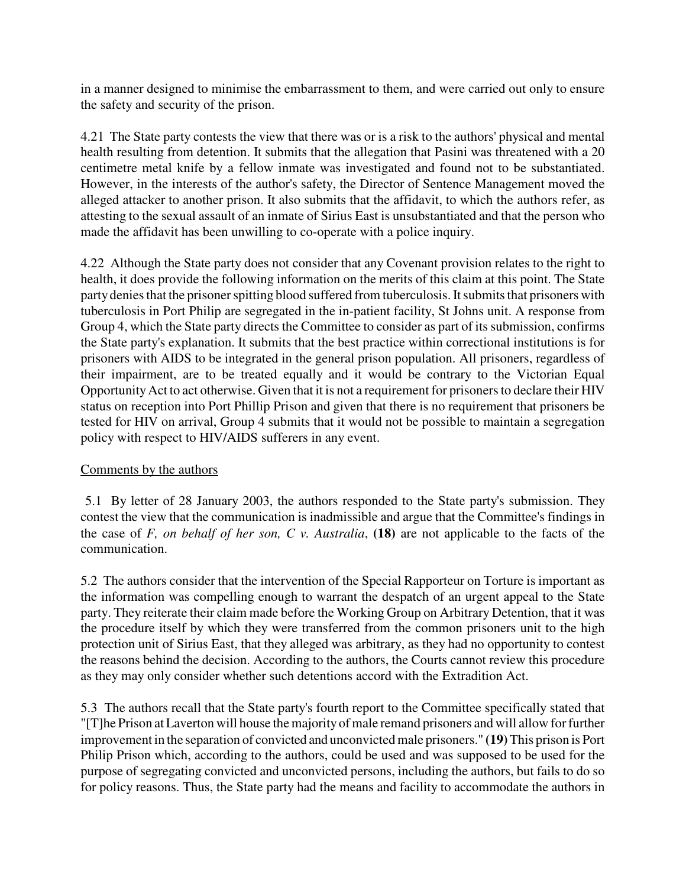in a manner designed to minimise the embarrassment to them, and were carried out only to ensure the safety and security of the prison.

4.21 The State party contests the view that there was or is a risk to the authors' physical and mental health resulting from detention. It submits that the allegation that Pasini was threatened with a 20 centimetre metal knife by a fellow inmate was investigated and found not to be substantiated. However, in the interests of the author's safety, the Director of Sentence Management moved the alleged attacker to another prison. It also submits that the affidavit, to which the authors refer, as attesting to the sexual assault of an inmate of Sirius East is unsubstantiated and that the person who made the affidavit has been unwilling to co-operate with a police inquiry.

4.22 Although the State party does not consider that any Covenant provision relates to the right to health, it does provide the following information on the merits of this claim at this point. The State party denies that the prisoner spitting blood suffered from tuberculosis. It submits that prisoners with tuberculosis in Port Philip are segregated in the in-patient facility, St Johns unit. A response from Group 4, which the State party directs the Committee to consider as part of its submission, confirms the State party's explanation. It submits that the best practice within correctional institutions is for prisoners with AIDS to be integrated in the general prison population. All prisoners, regardless of their impairment, are to be treated equally and it would be contrary to the Victorian Equal Opportunity Act to act otherwise. Given that it is not a requirement for prisoners to declare their HIV status on reception into Port Phillip Prison and given that there is no requirement that prisoners be tested for HIV on arrival, Group 4 submits that it would not be possible to maintain a segregation policy with respect to HIV/AIDS sufferers in any event.

#### Comments by the authors

 5.1 By letter of 28 January 2003, the authors responded to the State party's submission. They contest the view that the communication is inadmissible and argue that the Committee's findings in the case of *F, on behalf of her son, C v. Australia*, **(18)** are not applicable to the facts of the communication.

5.2 The authors consider that the intervention of the Special Rapporteur on Torture is important as the information was compelling enough to warrant the despatch of an urgent appeal to the State party. They reiterate their claim made before the Working Group on Arbitrary Detention, that it was the procedure itself by which they were transferred from the common prisoners unit to the high protection unit of Sirius East, that they alleged was arbitrary, as they had no opportunity to contest the reasons behind the decision. According to the authors, the Courts cannot review this procedure as they may only consider whether such detentions accord with the Extradition Act.

5.3 The authors recall that the State party's fourth report to the Committee specifically stated that "[T]he Prison at Laverton will house the majority of male remand prisoners and will allow for further improvement in the separation of convicted and unconvicted male prisoners." **(19)** This prison is Port Philip Prison which, according to the authors, could be used and was supposed to be used for the purpose of segregating convicted and unconvicted persons, including the authors, but fails to do so for policy reasons. Thus, the State party had the means and facility to accommodate the authors in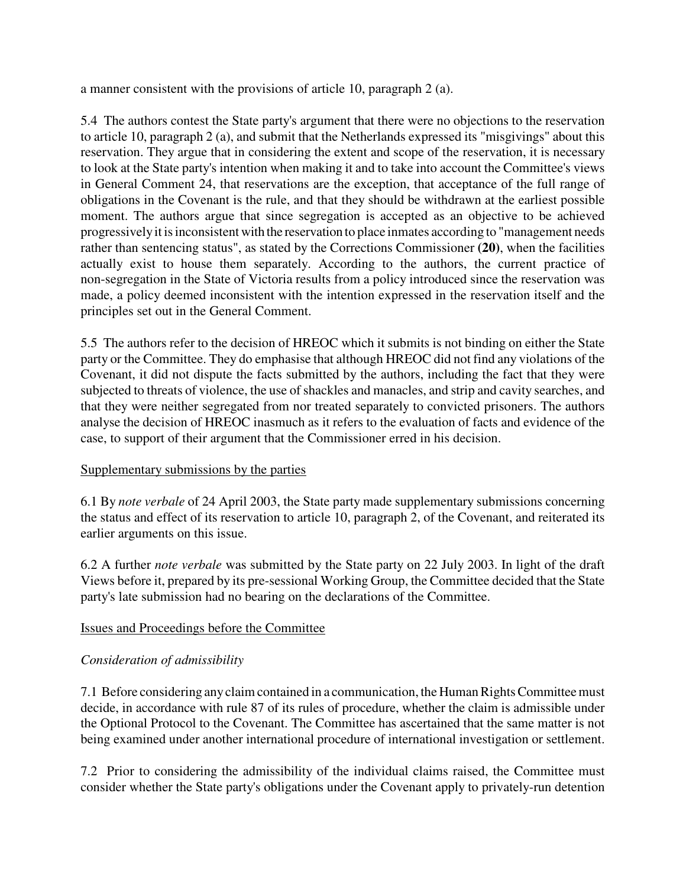a manner consistent with the provisions of article 10, paragraph 2 (a).

5.4 The authors contest the State party's argument that there were no objections to the reservation to article 10, paragraph 2 (a), and submit that the Netherlands expressed its "misgivings" about this reservation. They argue that in considering the extent and scope of the reservation, it is necessary to look at the State party's intention when making it and to take into account the Committee's views in General Comment 24, that reservations are the exception, that acceptance of the full range of obligations in the Covenant is the rule, and that they should be withdrawn at the earliest possible moment. The authors argue that since segregation is accepted as an objective to be achieved progressively it is inconsistent with the reservation to place inmates according to "management needs rather than sentencing status", as stated by the Corrections Commissioner **(20)**, when the facilities actually exist to house them separately. According to the authors, the current practice of non-segregation in the State of Victoria results from a policy introduced since the reservation was made, a policy deemed inconsistent with the intention expressed in the reservation itself and the principles set out in the General Comment.

5.5 The authors refer to the decision of HREOC which it submits is not binding on either the State party or the Committee. They do emphasise that although HREOC did not find any violations of the Covenant, it did not dispute the facts submitted by the authors, including the fact that they were subjected to threats of violence, the use of shackles and manacles, and strip and cavity searches, and that they were neither segregated from nor treated separately to convicted prisoners. The authors analyse the decision of HREOC inasmuch as it refers to the evaluation of facts and evidence of the case, to support of their argument that the Commissioner erred in his decision.

# Supplementary submissions by the parties

6.1 By *note verbale* of 24 April 2003, the State party made supplementary submissions concerning the status and effect of its reservation to article 10, paragraph 2, of the Covenant, and reiterated its earlier arguments on this issue.

6.2 A further *note verbale* was submitted by the State party on 22 July 2003. In light of the draft Views before it, prepared by its pre-sessional Working Group, the Committee decided that the State party's late submission had no bearing on the declarations of the Committee.

# Issues and Proceedings before the Committee

# *Consideration of admissibility*

7.1 Before considering any claim contained in a communication, the Human Rights Committee must decide, in accordance with rule 87 of its rules of procedure, whether the claim is admissible under the Optional Protocol to the Covenant. The Committee has ascertained that the same matter is not being examined under another international procedure of international investigation or settlement.

7.2 Prior to considering the admissibility of the individual claims raised, the Committee must consider whether the State party's obligations under the Covenant apply to privately-run detention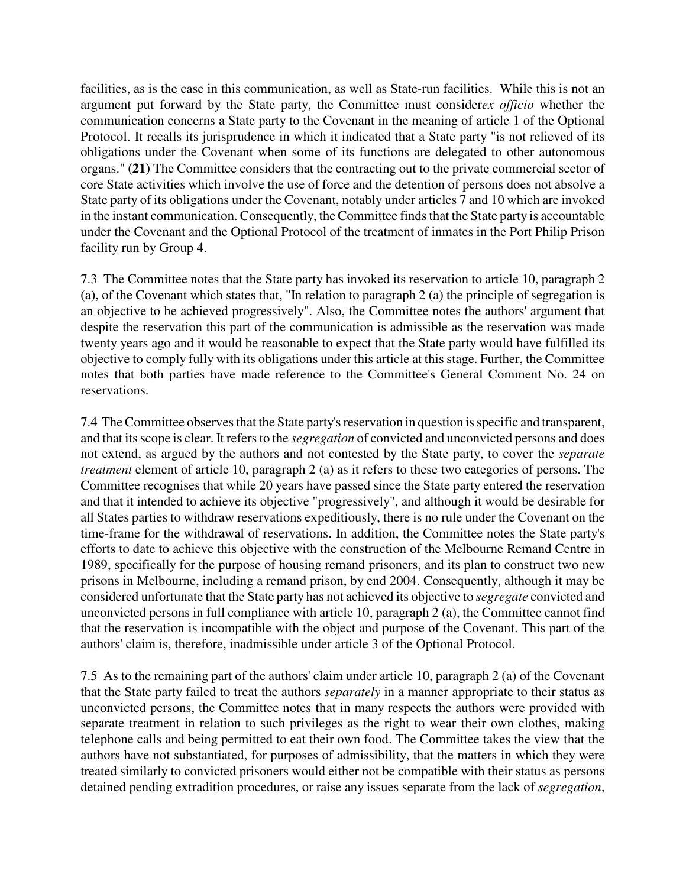facilities, as is the case in this communication, as well as State-run facilities. While this is not an argument put forward by the State party, the Committee must consider*ex officio* whether the communication concerns a State party to the Covenant in the meaning of article 1 of the Optional Protocol. It recalls its jurisprudence in which it indicated that a State party "is not relieved of its obligations under the Covenant when some of its functions are delegated to other autonomous organs." **(21)** The Committee considers that the contracting out to the private commercial sector of core State activities which involve the use of force and the detention of persons does not absolve a State party of its obligations under the Covenant, notably under articles 7 and 10 which are invoked in the instant communication. Consequently, the Committee finds that the State party is accountable under the Covenant and the Optional Protocol of the treatment of inmates in the Port Philip Prison facility run by Group 4.

7.3 The Committee notes that the State party has invoked its reservation to article 10, paragraph 2 (a), of the Covenant which states that, "In relation to paragraph 2 (a) the principle of segregation is an objective to be achieved progressively". Also, the Committee notes the authors' argument that despite the reservation this part of the communication is admissible as the reservation was made twenty years ago and it would be reasonable to expect that the State party would have fulfilled its objective to comply fully with its obligations under this article at this stage. Further, the Committee notes that both parties have made reference to the Committee's General Comment No. 24 on reservations.

7.4 The Committee observes that the State party's reservation in question is specific and transparent, and that its scope is clear. It refers to the *segregation* of convicted and unconvicted persons and does not extend, as argued by the authors and not contested by the State party, to cover the *separate treatment* element of article 10, paragraph 2 (a) as it refers to these two categories of persons. The Committee recognises that while 20 years have passed since the State party entered the reservation and that it intended to achieve its objective "progressively", and although it would be desirable for all States parties to withdraw reservations expeditiously, there is no rule under the Covenant on the time-frame for the withdrawal of reservations. In addition, the Committee notes the State party's efforts to date to achieve this objective with the construction of the Melbourne Remand Centre in 1989, specifically for the purpose of housing remand prisoners, and its plan to construct two new prisons in Melbourne, including a remand prison, by end 2004. Consequently, although it may be considered unfortunate that the State party has not achieved its objective to *segregate* convicted and unconvicted persons in full compliance with article 10, paragraph 2 (a), the Committee cannot find that the reservation is incompatible with the object and purpose of the Covenant. This part of the authors' claim is, therefore, inadmissible under article 3 of the Optional Protocol.

7.5 As to the remaining part of the authors' claim under article 10, paragraph 2 (a) of the Covenant that the State party failed to treat the authors *separately* in a manner appropriate to their status as unconvicted persons, the Committee notes that in many respects the authors were provided with separate treatment in relation to such privileges as the right to wear their own clothes, making telephone calls and being permitted to eat their own food. The Committee takes the view that the authors have not substantiated, for purposes of admissibility, that the matters in which they were treated similarly to convicted prisoners would either not be compatible with their status as persons detained pending extradition procedures, or raise any issues separate from the lack of *segregation*,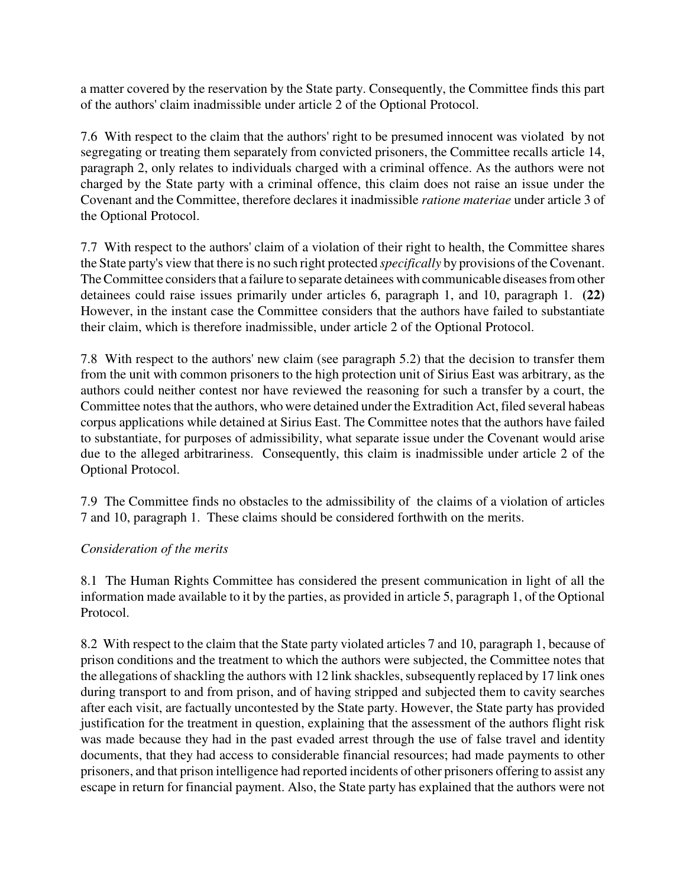a matter covered by the reservation by the State party. Consequently, the Committee finds this part of the authors' claim inadmissible under article 2 of the Optional Protocol.

7.6 With respect to the claim that the authors' right to be presumed innocent was violated by not segregating or treating them separately from convicted prisoners, the Committee recalls article 14, paragraph 2, only relates to individuals charged with a criminal offence. As the authors were not charged by the State party with a criminal offence, this claim does not raise an issue under the Covenant and the Committee, therefore declares it inadmissible *ratione materiae* under article 3 of the Optional Protocol.

7.7 With respect to the authors' claim of a violation of their right to health, the Committee shares the State party's view that there is no such right protected *specifically* by provisions of the Covenant. The Committee considers that a failure to separate detainees with communicable diseases from other detainees could raise issues primarily under articles 6, paragraph 1, and 10, paragraph 1. **(22)** However, in the instant case the Committee considers that the authors have failed to substantiate their claim, which is therefore inadmissible, under article 2 of the Optional Protocol.

7.8 With respect to the authors' new claim (see paragraph 5.2) that the decision to transfer them from the unit with common prisoners to the high protection unit of Sirius East was arbitrary, as the authors could neither contest nor have reviewed the reasoning for such a transfer by a court, the Committee notes that the authors, who were detained under the Extradition Act, filed several habeas corpus applications while detained at Sirius East. The Committee notes that the authors have failed to substantiate, for purposes of admissibility, what separate issue under the Covenant would arise due to the alleged arbitrariness. Consequently, this claim is inadmissible under article 2 of the Optional Protocol.

7.9 The Committee finds no obstacles to the admissibility of the claims of a violation of articles 7 and 10, paragraph 1. These claims should be considered forthwith on the merits.

# *Consideration of the merits*

8.1 The Human Rights Committee has considered the present communication in light of all the information made available to it by the parties, as provided in article 5, paragraph 1, of the Optional Protocol.

8.2 With respect to the claim that the State party violated articles 7 and 10, paragraph 1, because of prison conditions and the treatment to which the authors were subjected, the Committee notes that the allegations of shackling the authors with 12 link shackles, subsequently replaced by 17 link ones during transport to and from prison, and of having stripped and subjected them to cavity searches after each visit, are factually uncontested by the State party. However, the State party has provided justification for the treatment in question, explaining that the assessment of the authors flight risk was made because they had in the past evaded arrest through the use of false travel and identity documents, that they had access to considerable financial resources; had made payments to other prisoners, and that prison intelligence had reported incidents of other prisoners offering to assist any escape in return for financial payment. Also, the State party has explained that the authors were not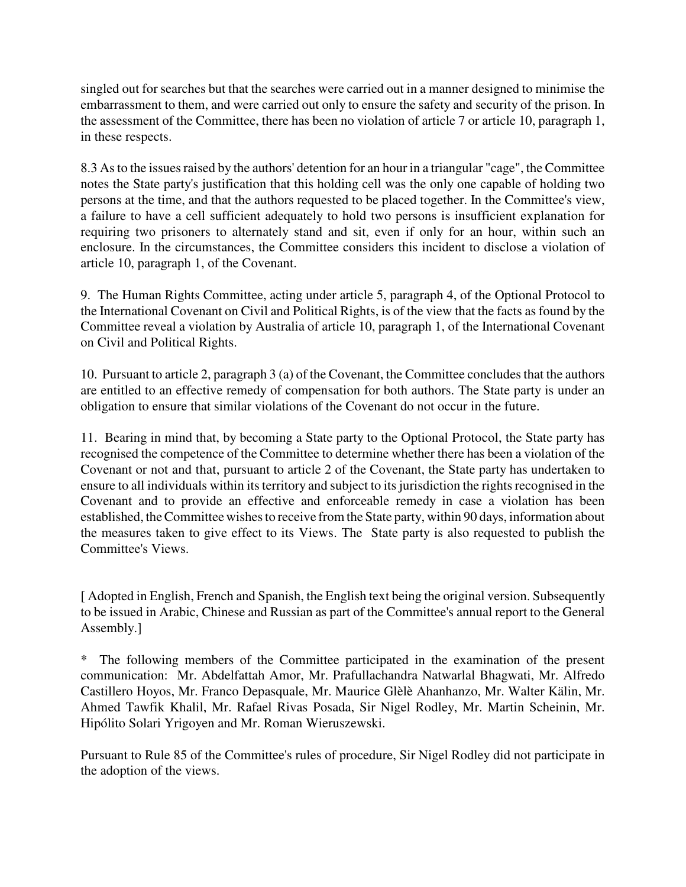singled out for searches but that the searches were carried out in a manner designed to minimise the embarrassment to them, and were carried out only to ensure the safety and security of the prison. In the assessment of the Committee, there has been no violation of article 7 or article 10, paragraph 1, in these respects.

8.3 As to the issues raised by the authors' detention for an hour in a triangular "cage", the Committee notes the State party's justification that this holding cell was the only one capable of holding two persons at the time, and that the authors requested to be placed together. In the Committee's view, a failure to have a cell sufficient adequately to hold two persons is insufficient explanation for requiring two prisoners to alternately stand and sit, even if only for an hour, within such an enclosure. In the circumstances, the Committee considers this incident to disclose a violation of article 10, paragraph 1, of the Covenant.

9. The Human Rights Committee, acting under article 5, paragraph 4, of the Optional Protocol to the International Covenant on Civil and Political Rights, is of the view that the facts as found by the Committee reveal a violation by Australia of article 10, paragraph 1, of the International Covenant on Civil and Political Rights.

10. Pursuant to article 2, paragraph 3 (a) of the Covenant, the Committee concludes that the authors are entitled to an effective remedy of compensation for both authors. The State party is under an obligation to ensure that similar violations of the Covenant do not occur in the future.

11. Bearing in mind that, by becoming a State party to the Optional Protocol, the State party has recognised the competence of the Committee to determine whether there has been a violation of the Covenant or not and that, pursuant to article 2 of the Covenant, the State party has undertaken to ensure to all individuals within its territory and subject to its jurisdiction the rights recognised in the Covenant and to provide an effective and enforceable remedy in case a violation has been established, the Committee wishes to receive from the State party, within 90 days, information about the measures taken to give effect to its Views. The State party is also requested to publish the Committee's Views.

[ Adopted in English, French and Spanish, the English text being the original version. Subsequently to be issued in Arabic, Chinese and Russian as part of the Committee's annual report to the General Assembly.]

\* The following members of the Committee participated in the examination of the present communication: Mr. Abdelfattah Amor, Mr. Prafullachandra Natwarlal Bhagwati, Mr. Alfredo Castillero Hoyos, Mr. Franco Depasquale, Mr. Maurice Glèlè Ahanhanzo, Mr. Walter Kälin, Mr. Ahmed Tawfik Khalil, Mr. Rafael Rivas Posada, Sir Nigel Rodley, Mr. Martin Scheinin, Mr. Hipólito Solari Yrigoyen and Mr. Roman Wieruszewski.

Pursuant to Rule 85 of the Committee's rules of procedure, Sir Nigel Rodley did not participate in the adoption of the views.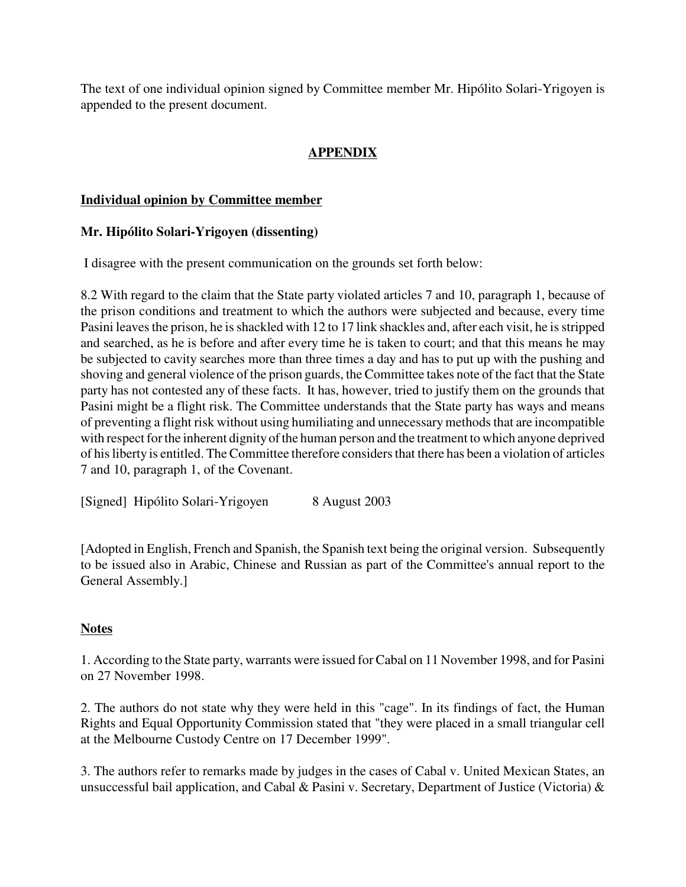The text of one individual opinion signed by Committee member Mr. Hipólito Solari-Yrigoyen is appended to the present document.

# **APPENDIX**

#### **Individual opinion by Committee member**

#### **Mr. Hipólito Solari-Yrigoyen (dissenting)**

I disagree with the present communication on the grounds set forth below:

8.2 With regard to the claim that the State party violated articles 7 and 10, paragraph 1, because of the prison conditions and treatment to which the authors were subjected and because, every time Pasini leaves the prison, he is shackled with 12 to 17 link shackles and, after each visit, he is stripped and searched, as he is before and after every time he is taken to court; and that this means he may be subjected to cavity searches more than three times a day and has to put up with the pushing and shoving and general violence of the prison guards, the Committee takes note of the fact that the State party has not contested any of these facts. It has, however, tried to justify them on the grounds that Pasini might be a flight risk. The Committee understands that the State party has ways and means of preventing a flight risk without using humiliating and unnecessary methods that are incompatible with respect for the inherent dignity of the human person and the treatment to which anyone deprived of his liberty is entitled. The Committee therefore considers that there has been a violation of articles 7 and 10, paragraph 1, of the Covenant.

[Signed] Hipólito Solari-Yrigoyen 8 August 2003

[Adopted in English, French and Spanish, the Spanish text being the original version. Subsequently to be issued also in Arabic, Chinese and Russian as part of the Committee's annual report to the General Assembly.]

#### **Notes**

1. According to the State party, warrants were issued for Cabal on 11 November 1998, and for Pasini on 27 November 1998.

2. The authors do not state why they were held in this "cage". In its findings of fact, the Human Rights and Equal Opportunity Commission stated that "they were placed in a small triangular cell at the Melbourne Custody Centre on 17 December 1999".

3. The authors refer to remarks made by judges in the cases of Cabal v. United Mexican States, an unsuccessful bail application, and Cabal & Pasini v. Secretary, Department of Justice (Victoria) &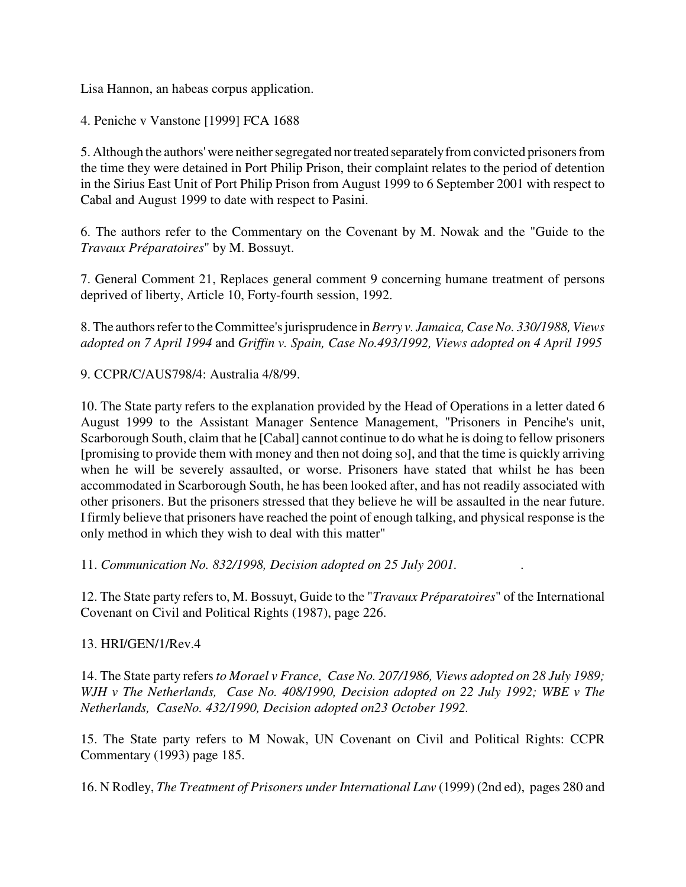Lisa Hannon, an habeas corpus application.

4. Peniche v Vanstone [1999] FCA 1688

5. Although the authors' were neither segregated nor treated separately from convicted prisoners from the time they were detained in Port Philip Prison, their complaint relates to the period of detention in the Sirius East Unit of Port Philip Prison from August 1999 to 6 September 2001 with respect to Cabal and August 1999 to date with respect to Pasini.

6. The authors refer to the Commentary on the Covenant by M. Nowak and the "Guide to the *Travaux Préparatoires*" by M. Bossuyt.

7. General Comment 21, Replaces general comment 9 concerning humane treatment of persons deprived of liberty, Article 10, Forty-fourth session, 1992.

8. The authors refer to the Committee's jurisprudence in *Berry v. Jamaica, Case No. 330/1988, Views adopted on 7 April 1994* and *Griffin v. Spain, Case No.493/1992, Views adopted on 4 April 1995*

9. CCPR/C/AUS798/4: Australia 4/8/99.

10. The State party refers to the explanation provided by the Head of Operations in a letter dated 6 August 1999 to the Assistant Manager Sentence Management, "Prisoners in Pencihe's unit, Scarborough South, claim that he [Cabal] cannot continue to do what he is doing to fellow prisoners [promising to provide them with money and then not doing so], and that the time is quickly arriving when he will be severely assaulted, or worse. Prisoners have stated that whilst he has been accommodated in Scarborough South, he has been looked after, and has not readily associated with other prisoners. But the prisoners stressed that they believe he will be assaulted in the near future. I firmly believe that prisoners have reached the point of enough talking, and physical response is the only method in which they wish to deal with this matter"

11. *Communication No. 832/1998, Decision adopted on 25 July 2001. .*

12. The State party refers to, M. Bossuyt, Guide to the "*Travaux Préparatoires*" of the International Covenant on Civil and Political Rights (1987), page 226.

13. HRI/GEN/1/Rev.4

14. The State party refers *to Morael v France, Case No. 207/1986, Views adopted on 28 July 1989; WJH v The Netherlands, Case No. 408/1990, Decision adopted on 22 July 1992; WBE v The Netherlands, CaseNo. 432/1990, Decision adopted on23 October 1992.* 

15. The State party refers to M Nowak, UN Covenant on Civil and Political Rights: CCPR Commentary (1993) page 185.

16. N Rodley, *The Treatment of Prisoners under International Law* (1999) (2nd ed), pages 280 and